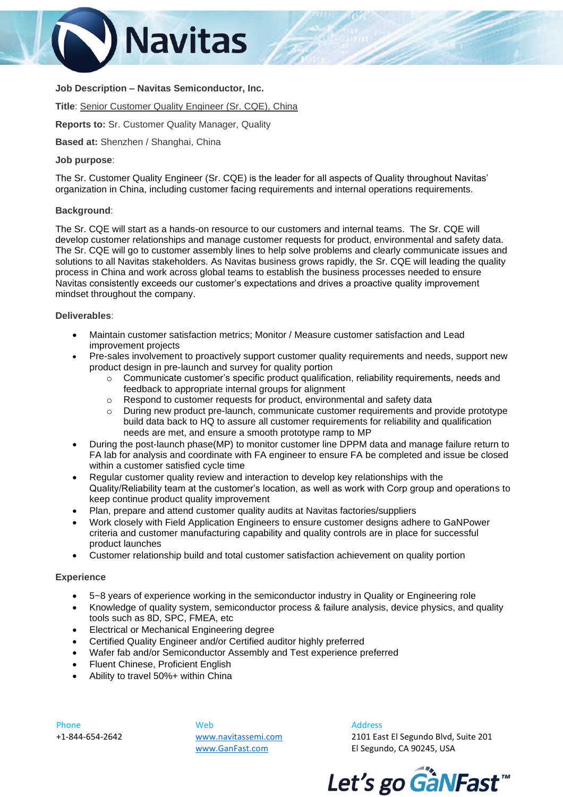

# **Job Description – Navitas Semiconductor, Inc.**

**Title**: Senior Customer Quality Engineer (Sr. CQE), China

**Reports to:** Sr. Customer Quality Manager, Quality

**Based at:** Shenzhen / Shanghai, China

# **Job purpose**:

The Sr. Customer Quality Engineer (Sr. CQE) is the leader for all aspects of Quality throughout Navitas' organization in China, including customer facing requirements and internal operations requirements.

# **Background**:

The Sr. CQE will start as a hands-on resource to our customers and internal teams. The Sr. CQE will develop customer relationships and manage customer requests for product, environmental and safety data. The Sr. CQE will go to customer assembly lines to help solve problems and clearly communicate issues and solutions to all Navitas stakeholders. As Navitas business grows rapidly, the Sr. CQE will leading the quality process in China and work across global teams to establish the business processes needed to ensure Navitas consistently exceeds our customer's expectations and drives a proactive quality improvement mindset throughout the company.

# **Deliverables**:

- Maintain customer satisfaction metrics; Monitor / Measure customer satisfaction and Lead improvement projects
- Pre-sales involvement to proactively support customer quality requirements and needs, support new product design in pre-launch and survey for quality portion
	- o Communicate customer's specific product qualification, reliability requirements, needs and feedback to appropriate internal groups for alignment
	- o Respond to customer requests for product, environmental and safety data
	- $\circ$  During new product pre-launch, communicate customer requirements and provide prototype build data back to HQ to assure all customer requirements for reliability and qualification needs are met, and ensure a smooth prototype ramp to MP
- During the post-launch phase(MP) to monitor customer line DPPM data and manage failure return to FA lab for analysis and coordinate with FA engineer to ensure FA be completed and issue be closed within a customer satisfied cycle time
- Regular customer quality review and interaction to develop key relationships with the Quality/Reliability team at the customer's location, as well as work with Corp group and operations to keep continue product quality improvement
- Plan, prepare and attend customer quality audits at Navitas factories/suppliers
- Work closely with Field Application Engineers to ensure customer designs adhere to GaNPower criteria and customer manufacturing capability and quality controls are in place for successful product launches
- Customer relationship build and total customer satisfaction achievement on quality portion

### **Experience**

- 5~8 years of experience working in the semiconductor industry in Quality or Engineering role
- Knowledge of quality system, semiconductor process & failure analysis, device physics, and quality tools such as 8D, SPC, FMEA, etc
- Electrical or Mechanical Engineering degree
- Certified Quality Engineer and/or Certified auditor highly preferred
- Wafer fab and/or Semiconductor Assembly and Test experience preferred
- Fluent Chinese, Proficient English
- Ability to travel 50%+ within China

Phone +1-844-654-2642

Web [www.navitassemi.com](http://www.navitassemi.com/) [www.GanFast.com](http://www.ganfast.com/) 

Address 2101 East El Segundo Blvd, Suite 201 El Segundo, CA 90245, USA